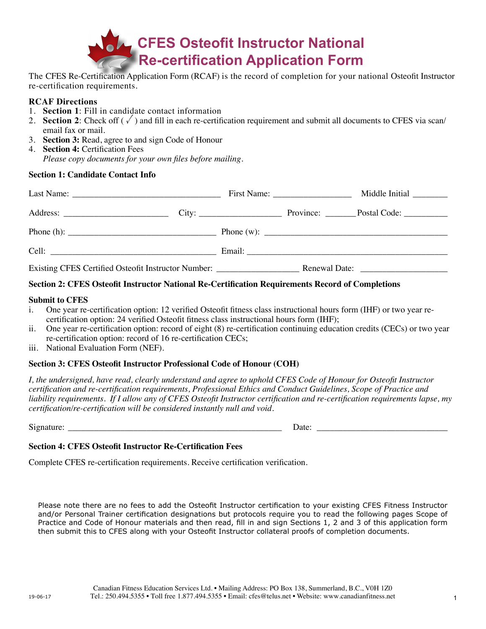

The CFES Re-Certification Application Form (RCAF) is the record of completion for your national Osteofit Instructor re-certification requirements.

### **RCAF Directions**

- 1. **Section 1**: Fill in candidate contact information
- 2. **Section 2**: Check off  $(\sqrt{\ })$  and fill in each re-certification requirement and submit all documents to CFES via scan/ email fax or mail.
- 3. **Section 3:** Read, agree to and sign Code of Honour
- 4. **Section 4:** Certification Fees *Please copy documents for your own files before mailing.*

### **Section 1: Candidate Contact Info**

| Last Name: $\frac{1}{\sqrt{1-\frac{1}{2}}}\left\{ \frac{1}{2}, \frac{1}{2}, \frac{1}{2}, \frac{1}{2}, \frac{1}{2}, \frac{1}{2}, \frac{1}{2}, \frac{1}{2}, \frac{1}{2}, \frac{1}{2}, \frac{1}{2}, \frac{1}{2}, \frac{1}{2}, \frac{1}{2}, \frac{1}{2}, \frac{1}{2}, \frac{1}{2}, \frac{1}{2}, \frac{1}{2}, \frac{1}{2}, \frac{1}{2}, \frac{1}{2}, \frac{1}{2}, \frac{1}{2}, \frac{1}{2}, \frac{1}{2}, \frac{1}{2},$ |  |  |  | Middle Initial             |
|-------------------------------------------------------------------------------------------------------------------------------------------------------------------------------------------------------------------------------------------------------------------------------------------------------------------------------------------------------------------------------------------------------------------|--|--|--|----------------------------|
|                                                                                                                                                                                                                                                                                                                                                                                                                   |  |  |  | Province: Postal Code:     |
|                                                                                                                                                                                                                                                                                                                                                                                                                   |  |  |  | Phone (w): $\qquad \qquad$ |
| Cell: Celling and the contract of the contract of the contract of the contract of the contract of the contract of the contract of the contract of the contract of the contract of the contract of the contract of the contract                                                                                                                                                                                    |  |  |  |                            |
| Existing CFES Certified Osteofit Instructor Number: ____________________________                                                                                                                                                                                                                                                                                                                                  |  |  |  |                            |

### **Section 2: CFES Osteofit Instructor National Re-Certification Requirements Record of Completions**

#### **Submit to CFES**

- i. One year re-certification option: 12 verified Osteofit fitness class instructional hours form (IHF) or two year recertification option: 24 verified Osteofit fitness class instructional hours form (IHF);
- ii. One year re-certification option: record of eight (8) re-certification continuing education credits (CECs) or two year re-certification option: record of 16 re-certification CECs;
- iii. National Evaluation Form (NEF).

### **Section 3: CFES Osteofit Instructor Professional Code of Honour (COH)**

*I, the undersigned, have read, clearly understand and agree to uphold CFES Code of Honour for Osteofit Instructor certification and re-certification requirements, Professional Ethics and Conduct Guidelines, Scope of Practice and liability requirements. If I allow any of CFES Osteofit Instructor certification and re-certification requirements lapse, my certification/re-certification will be considered instantly null and void.* 

 $Signature:$  Date:

### **Section 4: CFES Osteofit Instructor Re-Certification Fees**

Complete CFES re-certification requirements. Receive certification verification.

\$73.50 Total ❑ \$147.00 Total ❑ Please note there are no fees to add the Osteofit Instructor certification to your existing CFES Fitness Instructor and/or Personal Trainer certification designations but protocols require you to read the following pages Scope of then submit this to CFES along with your Osteofit Instructor collateral proofs of completion documents. Practice and Code of Honour materials and then read, fill in and sign Sections 1, 2 and 3 of this application form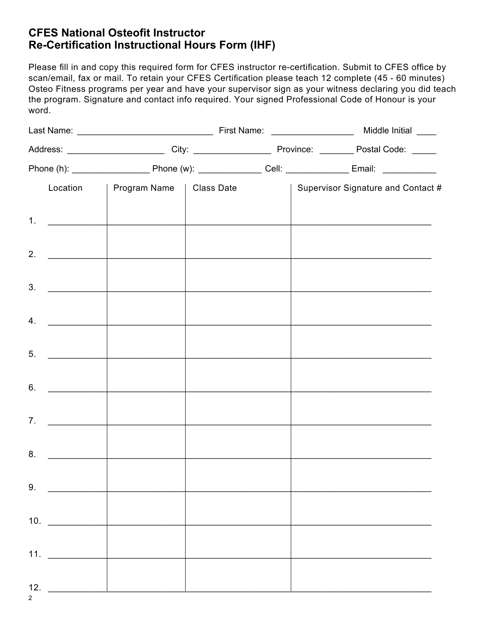# **CFES National Osteofit Instructor Re-Certification Instructional Hours Form (IHF)**

Please fill in and copy this required form for CFES instructor re-certification. Submit to CFES office by scan/email, fax or mail. To retain your CFES Certification please teach 12 complete (45 - 60 minutes) Osteo Fitness programs per year and have your supervisor sign as your witness declaring you did teach the program. Signature and contact info required. Your signed Professional Code of Honour is your word.

|  |                     | Location   Program Name   Class Date |  |  | Supervisor Signature and Contact #                                                                                   |
|--|---------------------|--------------------------------------|--|--|----------------------------------------------------------------------------------------------------------------------|
|  | 1. $\qquad \qquad$  |                                      |  |  |                                                                                                                      |
|  |                     |                                      |  |  | <u> 1989 - Johann John Barn, martin de ferrer eta bainar eta baina eta baina eta baina eta baina eta baina eta b</u> |
|  |                     |                                      |  |  |                                                                                                                      |
|  | 3.                  |                                      |  |  |                                                                                                                      |
|  | 4.                  |                                      |  |  | the control of the control of the control of the control of the control of the control of                            |
|  | 5.                  |                                      |  |  |                                                                                                                      |
|  | 6.                  |                                      |  |  |                                                                                                                      |
|  | 7.                  |                                      |  |  |                                                                                                                      |
|  |                     |                                      |  |  |                                                                                                                      |
|  |                     |                                      |  |  | the control of the control of the control of the control of the control of the control of                            |
|  | 9.                  |                                      |  |  |                                                                                                                      |
|  | 10. $\qquad$        |                                      |  |  |                                                                                                                      |
|  |                     |                                      |  |  |                                                                                                                      |
|  | 11. $\qquad$        |                                      |  |  |                                                                                                                      |
|  | 12. $\qquad \qquad$ |                                      |  |  |                                                                                                                      |

2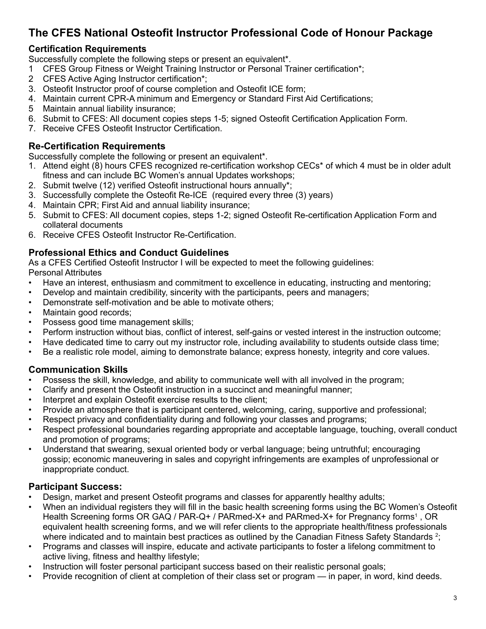# **The CFES National Osteofit Instructor Professional Code of Honour Package**

## **Certification Requirements**

Successfully complete the following steps or present an equivalent\*.

- 1 CFES Group Fitness or Weight Training Instructor or Personal Trainer certification\*;
- 2 CFES Active Aging Instructor certification\*;
- 3. Osteofit Instructor proof of course completion and Osteofit ICE form;
- 4. Maintain current CPR-A minimum and Emergency or Standard First Aid Certifications;
- 5 Maintain annual liability insurance;
- 6. Submit to CFES: All document copies steps 1-5; signed Osteofit Certification Application Form.
- 7. Receive CFES Osteofit Instructor Certification.

## **Re-Certification Requirements**

Successfully complete the following or present an equivalent\*.

- 1. Attend eight (8) hours CFES recognized re-certification workshop CECs\* of which 4 must be in older adult fitness and can include BC Women's annual Updates workshops;
- 2. Submit twelve (12) verified Osteofit instructional hours annually\*;
- 3. Successfully complete the Osteofit Re-ICE (required every three (3) years)
- 4. Maintain CPR; First Aid and annual liability insurance;
- 5. Submit to CFES: All document copies, steps 1-2; signed Osteofit Re-certification Application Form and collateral documents
- 6. Receive CFES Osteofit Instructor Re-Certification.

## **Professional Ethics and Conduct Guidelines**

As a CFES Certified Osteofit Instructor I will be expected to meet the following guidelines: Personal Attributes

- Have an interest, enthusiasm and commitment to excellence in educating, instructing and mentoring;
- Develop and maintain credibility, sincerity with the participants, peers and managers;
- Demonstrate self-motivation and be able to motivate others;
- Maintain good records;
- Possess good time management skills;
- Perform instruction without bias, conflict of interest, self-gains or vested interest in the instruction outcome;
- Have dedicated time to carry out my instructor role, including availability to students outside class time;
- Be a realistic role model, aiming to demonstrate balance; express honesty, integrity and core values.

## **Communication Skills**

- Possess the skill, knowledge, and ability to communicate well with all involved in the program;
- Clarify and present the Osteofit instruction in a succinct and meaningful manner;
- Interpret and explain Osteofit exercise results to the client;
- Provide an atmosphere that is participant centered, welcoming, caring, supportive and professional;
- Respect privacy and confidentiality during and following your classes and programs;
- Respect professional boundaries regarding appropriate and acceptable language, touching, overall conduct and promotion of programs;
- Understand that swearing, sexual oriented body or verbal language; being untruthful; encouraging gossip; economic maneuvering in sales and copyright infringements are examples of unprofessional or inappropriate conduct.

## **Participant Success:**

- Design, market and present Osteofit programs and classes for apparently healthy adults;
- When an individual registers they will fill in the basic health screening forms using the BC Women's Osteofit Health Screening forms OR GAQ / PAR-Q+ / PARmed-X+ and PARmed-X+ for Pregnancy forms<sup>1</sup>, OR equivalent health screening forms, and we will refer clients to the appropriate health/fitness professionals where indicated and to maintain best practices as outlined by the Canadian Fitness Safety Standards  $^2$ ;
- Programs and classes will inspire, educate and activate participants to foster a lifelong commitment to active living, fitness and healthy lifestyle;
- Instruction will foster personal participant success based on their realistic personal goals;
- Provide recognition of client at completion of their class set or program in paper, in word, kind deeds.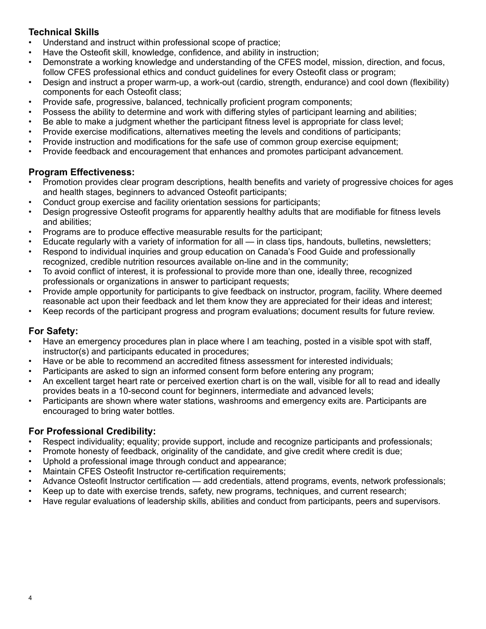## **Technical Skills**

- Understand and instruct within professional scope of practice;
- Have the Osteofit skill, knowledge, confidence, and ability in instruction;
- Demonstrate a working knowledge and understanding of the CFES model, mission, direction, and focus, follow CFES professional ethics and conduct guidelines for every Osteofit class or program;
- Design and instruct a proper warm-up, a work-out (cardio, strength, endurance) and cool down (flexibility) components for each Osteofit class;
- Provide safe, progressive, balanced, technically proficient program components;
- Possess the ability to determine and work with differing styles of participant learning and abilities;
- Be able to make a judgment whether the participant fitness level is appropriate for class level;
- Provide exercise modifications, alternatives meeting the levels and conditions of participants;
- Provide instruction and modifications for the safe use of common group exercise equipment;
- Provide feedback and encouragement that enhances and promotes participant advancement.

## **Program Effectiveness:**

- Promotion provides clear program descriptions, health benefits and variety of progressive choices for ages and health stages, beginners to advanced Osteofit participants;
- Conduct group exercise and facility orientation sessions for participants;
- Design progressive Osteofit programs for apparently healthy adults that are modifiable for fitness levels and abilities;
- Programs are to produce effective measurable results for the participant;
- Educate regularly with a variety of information for all in class tips, handouts, bulletins, newsletters;
- Respond to individual inquiries and group education on Canada's Food Guide and professionally recognized, credible nutrition resources available on-line and in the community;
- To avoid conflict of interest, it is professional to provide more than one, ideally three, recognized professionals or organizations in answer to participant requests;
- Provide ample opportunity for participants to give feedback on instructor, program, facility. Where deemed reasonable act upon their feedback and let them know they are appreciated for their ideas and interest;
- Keep records of the participant progress and program evaluations; document results for future review.

# **For Safety:**

- Have an emergency procedures plan in place where I am teaching, posted in a visible spot with staff, instructor(s) and participants educated in procedures;
- Have or be able to recommend an accredited fitness assessment for interested individuals;
- Participants are asked to sign an informed consent form before entering any program;
- An excellent target heart rate or perceived exertion chart is on the wall, visible for all to read and ideally provides beats in a 10-second count for beginners, intermediate and advanced levels;
- Participants are shown where water stations, washrooms and emergency exits are. Participants are encouraged to bring water bottles.

# **For Professional Credibility:**

- Respect individuality; equality; provide support, include and recognize participants and professionals;
- Promote honesty of feedback, originality of the candidate, and give credit where credit is due;
- Uphold a professional image through conduct and appearance;
- Maintain CFES Osteofit Instructor re-certification requirements;
- Advance Osteofit Instructor certification add credentials, attend programs, events, network professionals;
- Keep up to date with exercise trends, safety, new programs, techniques, and current research;
- Have regular evaluations of leadership skills, abilities and conduct from participants, peers and supervisors.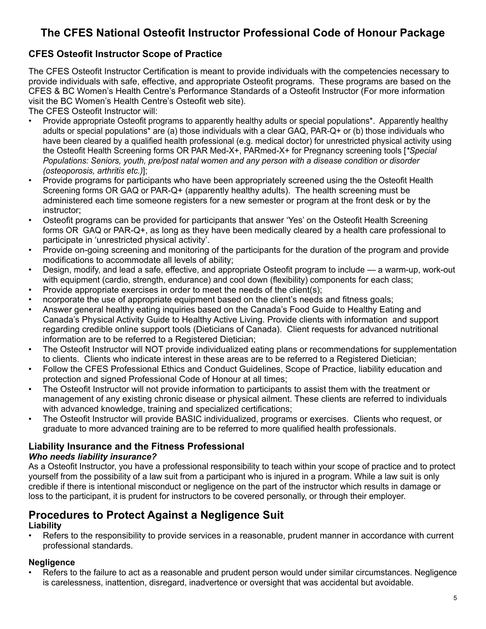# **The CFES National Osteofit Instructor Professional Code of Honour Package**

## **CFES Osteofit Instructor Scope of Practice**

The CFES Osteofit Instructor Certification is meant to provide individuals with the competencies necessary to provide individuals with safe, effective, and appropriate Osteofit programs. These programs are based on the CFES & BC Women's Health Centre's Performance Standards of a Osteofit Instructor (For more information visit the BC Women's Health Centre's Osteofit web site).

The CFES Osteofit Instructor will:

- Provide appropriate Osteofit programs to apparently healthy adults or special populations\*. Apparently healthy adults or special populations\* are (a) those individuals with a clear GAQ, PAR-Q+ or (b) those individuals who have been cleared by a qualified health professional (e.g. medical doctor) for unrestricted physical activity using the Osteofit Health Screening forms OR PAR Med-X+, PARmed-X+ for Pregnancy screening tools [*\*Special Populations: Seniors, youth, pre/post natal women and any person with a disease condition or disorder (osteoporosis, arthritis etc.)*];
- Provide programs for participants who have been appropriately screened using the the Osteofit Health Screening forms OR GAQ or PAR-Q+ (apparently healthy adults). The health screening must be administered each time someone registers for a new semester or program at the front desk or by the instructor;
- Osteofit programs can be provided for participants that answer 'Yes' on the Osteofit Health Screening forms OR GAQ or PAR-Q+, as long as they have been medically cleared by a health care professional to participate in 'unrestricted physical activity'.
- Provide on-going screening and monitoring of the participants for the duration of the program and provide modifications to accommodate all levels of ability;
- Design, modify, and lead a safe, effective, and appropriate Osteofit program to include a warm-up, work-out with equipment (cardio, strength, endurance) and cool down (flexibility) components for each class;
- Provide appropriate exercises in order to meet the needs of the client(s);
- ncorporate the use of appropriate equipment based on the client's needs and fitness goals;
- Answer general healthy eating inquiries based on the Canada's Food Guide to Healthy Eating and Canada's Physical Activity Guide to Healthy Active Living. Provide clients with information and support regarding credible online support tools (Dieticians of Canada). Client requests for advanced nutritional information are to be referred to a Registered Dietician;
- The Osteofit Instructor will NOT provide individualized eating plans or recommendations for supplementation to clients. Clients who indicate interest in these areas are to be referred to a Registered Dietician;
- Follow the CFES Professional Ethics and Conduct Guidelines, Scope of Practice, liability education and protection and signed Professional Code of Honour at all times;
- The Osteofit Instructor will not provide information to participants to assist them with the treatment or management of any existing chronic disease or physical ailment. These clients are referred to individuals with advanced knowledge, training and specialized certifications;
- The Osteofit Instructor will provide BASIC individualized, programs or exercises. Clients who request, or graduate to more advanced training are to be referred to more qualified health professionals.

## **Liability Insurance and the Fitness Professional**

## *Who needs liability insurance?*

As a Osteofit Instructor, you have a professional responsibility to teach within your scope of practice and to protect yourself from the possibility of a law suit from a participant who is injured in a program. While a law suit is only credible if there is intentional misconduct or negligence on the part of the instructor which results in damage or loss to the participant, it is prudent for instructors to be covered personally, or through their employer.

# **Procedures to Protect Against a Negligence Suit**

## **Liability**

• Refers to the responsibility to provide services in a reasonable, prudent manner in accordance with current professional standards.

## **Negligence**

Refers to the failure to act as a reasonable and prudent person would under similar circumstances. Negligence is carelessness, inattention, disregard, inadvertence or oversight that was accidental but avoidable.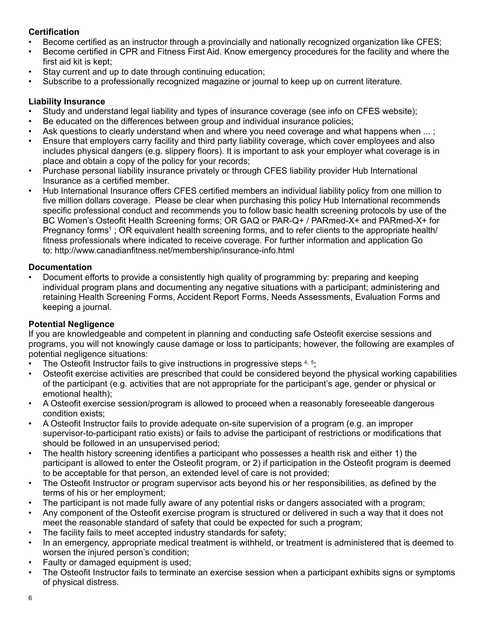## **Certification**

- Become certified as an instructor through a provincially and nationally recognized organization like CFES;
- Become certified in CPR and Fitness First Aid. Know emergency procedures for the facility and where the first aid kit is kept;
- Stay current and up to date through continuing education;
- Subscribe to a professionally recognized magazine or journal to keep up on current literature.

## **Liability Insurance**

- Study and understand legal liability and types of insurance coverage (see info on CFES website);
- Be educated on the differences between group and individual insurance policies;
- Ask questions to clearly understand when and where you need coverage and what happens when ...;
- Ensure that employers carry facility and third party liability coverage, which cover employees and also includes physical dangers (e.g. slippery floors). It is important to ask your employer what coverage is in place and obtain a copy of the policy for your records;
- Purchase personal liability insurance privately or through CFES liability provider Hub International Insurance as a certified member.
- Hub International Insurance offers CFES certified members an individual liability policy from one million to five million dollars coverage. Please be clear when purchasing this policy Hub International recommends specific professional conduct and recommends you to follow basic health screening protocols by use of the BC Women's Osteofit Health Screening forms; OR GAQ or PAR-Q+ / PARmed-X+ and PARmed-X+ for Pregnancy forms<sup>1</sup>; OR equivalent health screening forms, and to refer clients to the appropriate health/ fitness professionals where indicated to receive coverage. For further information and application Go to: http://www.canadianfitness.net/membership/insurance-info.html

## **Documentation**

• Document efforts to provide a consistently high quality of programming by: preparing and keeping individual program plans and documenting any negative situations with a participant; administering and retaining Health Screening Forms, Accident Report Forms, Needs Assessments, Evaluation Forms and keeping a journal.

## **Potential Negligence**

If you are knowledgeable and competent in planning and conducting safe Osteofit exercise sessions and programs, you will not knowingly cause damage or loss to participants; however, the following are examples of potential negligence situations:

- The Osteofit Instructor fails to give instructions in progressive steps  $4, 5$ ;
- Osteofit exercise activities are prescribed that could be considered beyond the physical working capabilities of the participant (e.g. activities that are not appropriate for the participant's age, gender or physical or emotional health);
- A Osteofit exercise session/program is allowed to proceed when a reasonably foreseeable dangerous condition exists;
- A Osteofit Instructor fails to provide adequate on-site supervision of a program (e.g. an improper supervisor-to-participant ratio exists) or fails to advise the participant of restrictions or modifications that should be followed in an unsupervised period;
- The health history screening identifies a participant who possesses a health risk and either 1) the participant is allowed to enter the Osteofit program, or 2) if participation in the Osteofit program is deemed to be acceptable for that person, an extended level of care is not provided;
- The Osteofit Instructor or program supervisor acts beyond his or her responsibilities, as defined by the terms of his or her employment;
- The participant is not made fully aware of any potential risks or dangers associated with a program;
- Any component of the Osteofit exercise program is structured or delivered in such a way that it does not meet the reasonable standard of safety that could be expected for such a program;
- The facility fails to meet accepted industry standards for safety;
- In an emergency, appropriate medical treatment is withheld, or treatment is administered that is deemed to worsen the injured person's condition;
- Faulty or damaged equipment is used;
- The Osteofit Instructor fails to terminate an exercise session when a participant exhibits signs or symptoms of physical distress.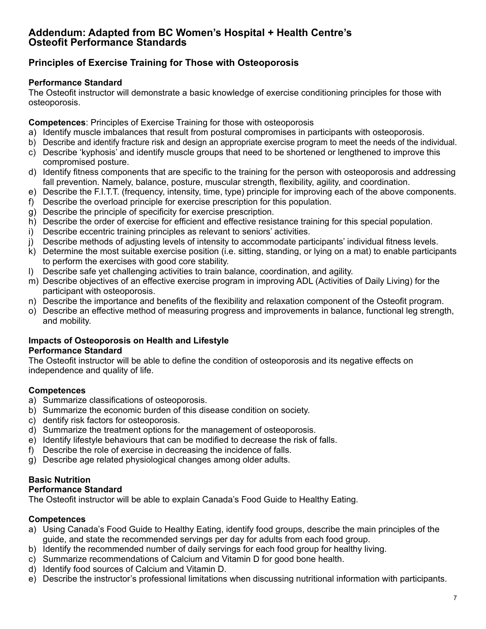## **Addendum: Adapted from BC Women's Hospital + Health Centre's Osteofit Performance Standards**

## **Principles of Exercise Training for Those with Osteoporosis**

### **Performance Standard**

The Osteofit instructor will demonstrate a basic knowledge of exercise conditioning principles for those with osteoporosis.

**Competences**: Principles of Exercise Training for those with osteoporosis

- a) Identify muscle imbalances that result from postural compromises in participants with osteoporosis.
- b) Describe and identify fracture risk and design an appropriate exercise program to meet the needs of the individual.
- c) Describe 'kyphosis' and identify muscle groups that need to be shortened or lengthened to improve this compromised posture.
- d) Identify fitness components that are specific to the training for the person with osteoporosis and addressing fall prevention. Namely, balance, posture, muscular strength, flexibility, agility, and coordination.
- e) Describe the F.I.T.T. (frequency, intensity, time, type) principle for improving each of the above components.
- f) Describe the overload principle for exercise prescription for this population.
- g) Describe the principle of specificity for exercise prescription.
- h) Describe the order of exercise for efficient and effective resistance training for this special population.
- i) Describe eccentric training principles as relevant to seniors' activities.
- j) Describe methods of adjusting levels of intensity to accommodate participants' individual fitness levels.
- k) Determine the most suitable exercise position (i.e. sitting, standing, or lying on a mat) to enable participants to perform the exercises with good core stability.
- l) Describe safe yet challenging activities to train balance, coordination, and agility.
- m) Describe objectives of an effective exercise program in improving ADL (Activities of Daily Living) for the participant with osteoporosis.
- n) Describe the importance and benefits of the flexibility and relaxation component of the Osteofit program.
- o) Describe an effective method of measuring progress and improvements in balance, functional leg strength, and mobility.

### **Impacts of Osteoporosis on Health and Lifestyle Performance Standard**

The Osteofit instructor will be able to define the condition of osteoporosis and its negative effects on independence and quality of life.

## **Competences**

- a) Summarize classifications of osteoporosis.
- b) Summarize the economic burden of this disease condition on society.
- c) dentify risk factors for osteoporosis.
- d) Summarize the treatment options for the management of osteoporosis.
- e) Identify lifestyle behaviours that can be modified to decrease the risk of falls.
- f) Describe the role of exercise in decreasing the incidence of falls.
- g) Describe age related physiological changes among older adults.

## **Basic Nutrition**

## **Performance Standard**

The Osteofit instructor will be able to explain Canada's Food Guide to Healthy Eating.

## **Competences**

- a) Using Canada's Food Guide to Healthy Eating, identify food groups, describe the main principles of the guide, and state the recommended servings per day for adults from each food group.
- b) Identify the recommended number of daily servings for each food group for healthy living.
- c) Summarize recommendations of Calcium and Vitamin D for good bone health.
- d) Identify food sources of Calcium and Vitamin D.
- e) Describe the instructor's professional limitations when discussing nutritional information with participants.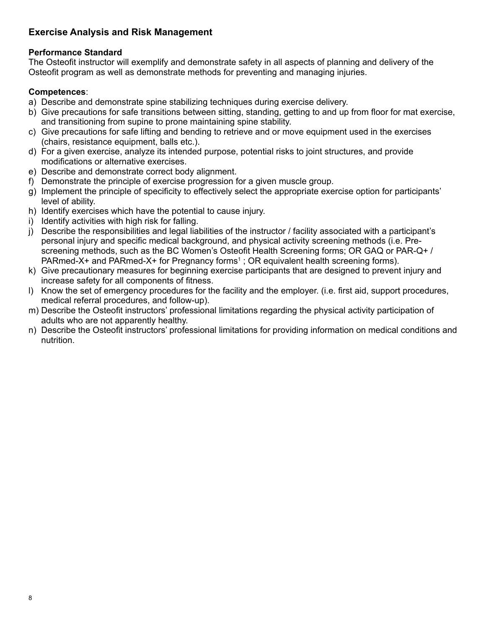## **Exercise Analysis and Risk Management**

## **Performance Standard**

The Osteofit instructor will exemplify and demonstrate safety in all aspects of planning and delivery of the Osteofit program as well as demonstrate methods for preventing and managing injuries.

### **Competences**:

- a) Describe and demonstrate spine stabilizing techniques during exercise delivery.
- b) Give precautions for safe transitions between sitting, standing, getting to and up from floor for mat exercise, and transitioning from supine to prone maintaining spine stability.
- c) Give precautions for safe lifting and bending to retrieve and or move equipment used in the exercises (chairs, resistance equipment, balls etc.).
- d) For a given exercise, analyze its intended purpose, potential risks to joint structures, and provide modifications or alternative exercises.
- e) Describe and demonstrate correct body alignment.
- f) Demonstrate the principle of exercise progression for a given muscle group.
- g) Implement the principle of specificity to effectively select the appropriate exercise option for participants' level of ability.
- h) Identify exercises which have the potential to cause injury.
- i) Identify activities with high risk for falling.
- j) Describe the responsibilities and legal liabilities of the instructor / facility associated with a participant's personal injury and specific medical background, and physical activity screening methods (i.e. Prescreening methods, such as the BC Women's Osteofit Health Screening forms; OR GAQ or PAR-Q+ / PARmed-X+ and PARmed-X+ for Pregnancy forms<sup>1</sup>; OR equivalent health screening forms).
- k) Give precautionary measures for beginning exercise participants that are designed to prevent injury and increase safety for all components of fitness.
- l) Know the set of emergency procedures for the facility and the employer. (i.e. first aid, support procedures, medical referral procedures, and follow-up).
- m) Describe the Osteofit instructors' professional limitations regarding the physical activity participation of adults who are not apparently healthy.
- n) Describe the Osteofit instructors' professional limitations for providing information on medical conditions and nutrition.